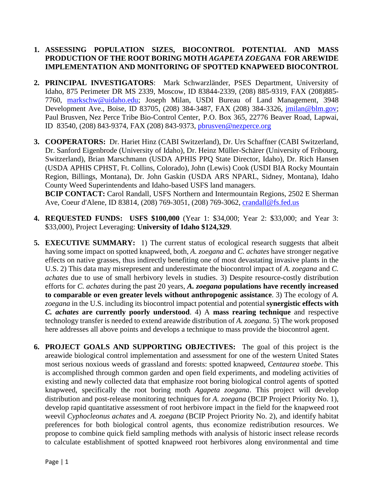# **1. ASSESSING POPULATION SIZES, BIOCONTROL POTENTIAL AND MASS PRODUCTION OF THE ROOT BORING MOTH** *AGAPETA ZOEGANA* **FOR AREWIDE IMPLEMENTATION AND MONITORING OF SPOTTED KNAPWEED BIOCONTROL**

- **2. PRINCIPAL INVESTIGATORS**: Mark Schwarzländer, PSES Department, University of Idaho, 875 Perimeter DR MS 2339, Moscow, ID 83844-2339, (208) 885-9319, FAX (208)885- 7760, [markschw@uidaho.edu;](mailto:markschw@uidaho.edu) Joseph Milan, USDI Bureau of Land Management, 3948 Development Ave., Boise, ID 83705, (208) 384-3487, FAX (208) 384-3326, [jmilan@blm.gov;](mailto:jmilan@blm.gov) Paul Brusven, Nez Perce Tribe Bio-Control Center, P.O. Box 365, 22776 Beaver Road, Lapwai, ID 83540, (208) 843-9374, FAX (208) 843-9373, [pbrusven@nezperce.org](mailto:pbrusven@nezperce.org)
- **3. COOPERATORS:** Dr. Hariet Hinz (CABI Switzerland), Dr. Urs Schaffner (CABI Switzerland, Dr. Sanford Eigenbrode (University of Idaho), Dr. Heinz Müller-Schärer (University of Fribourg, Switzerland), Brian Marschmann (USDA APHIS PPQ State Director, Idaho), Dr. Rich Hansen (USDA APHIS CPHST, Ft. Collins, Colorado), John (Lewis) Cook (USDI BIA Rocky Mountain Region, Billings, Montana), Dr. John Gaskin (USDA ARS NPARL, Sidney, Montana), Idaho County Weed Superintendents and Idaho-based USFS land managers. **BCIP CONTACT:** Carol Randall, USFS Northern and Intermountain Regions, 2502 E Sherman

Ave, Coeur d'Alene, ID 83814, (208) 769-3051, (208) 769-3062, [crandall@fs.fed.us](mailto:crandall@fs.fed.us)

- **4. REQUESTED FUNDS: USFS \$100,000** (Year 1: \$34,000; Year 2: \$33,000; and Year 3: \$33,000), Project Leveraging: **University of Idaho \$124,329**.
- **5. EXECUTIVE SUMMARY:** 1) The current status of ecological research suggests that albeit having some impact on spotted knapweed, both, *A. zoegana* and *C. achates* have stronger negative effects on native grasses, thus indirectly benefiting one of most devastating invasive plants in the U.S. 2) This data may misrepresent and underestimate the biocontrol impact of *A. zoegana* and *C. achates* due to use of small herbivory levels in studies. 3) Despite resource-costly distribution efforts for *C. achates* during the past 20 years, *A. zoegana* **populations have recently increased to comparable or even greater levels without anthropogenic assistance**. 3) The ecology of *A. zoegana* in the U.S. including its biocontrol impact potential and potential **synergistic effects with**  *C. achates* **are currently poorly understood**. 4) A **mass rearing technique** and respective technology transfer is needed to extend areawide distribution of *A. zoegana.* 5) The work proposed here addresses all above points and develops a technique to mass provide the biocontrol agent.
- **6. PROJECT GOALS AND SUPPORTING OBJECTIVES:** The goal of this project is the areawide biological control implementation and assessment for one of the western United States most serious noxious weeds of grassland and forests: spotted knapweed, *Centaurea stoebe*. This is accomplished through common garden and open field experiments, and modeling activities of existing and newly collected data that emphasize root boring biological control agents of spotted knapweed, specifically the root boring moth *Agapeta zoegana*. This project will develop distribution and post-release monitoring techniques for *A. zoegana* (BCIP Project Priority No. 1), develop rapid quantitative assessment of root herbivore impact in the field for the knapweed root weevil *Cyphocleonus achates* and *A. zoegana* (BCIP Project Priority No. 2), and identify habitat preferences for both biological control agents, thus economize redistribution resources. We propose to combine quick field sampling methods with analysis of historic insect release records to calculate establishment of spotted knapweed root herbivores along environmental and time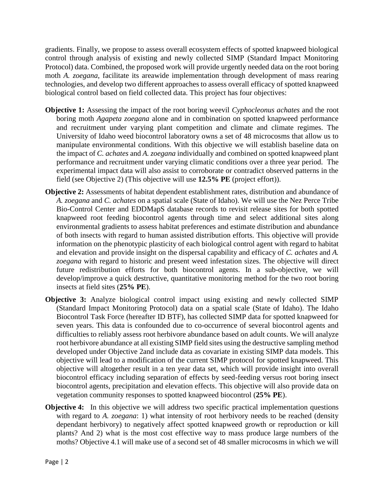gradients. Finally, we propose to assess overall ecosystem effects of spotted knapweed biological control through analysis of existing and newly collected SIMP (Standard Impact Monitoring Protocol) data. Combined, the proposed work will provide urgently needed data on the root boring moth *A. zoegana*, facilitate its areawide implementation through development of mass rearing technologies, and develop two different approaches to assess overall efficacy of spotted knapweed biological control based on field collected data. This project has four objectives:

- **Objective 1:** Assessing the impact of the root boring weevil *Cyphocleonus achates* and the root boring moth *Agapeta zoegana* alone and in combination on spotted knapweed performance and recruitment under varying plant competition and climate and climate regimes. The University of Idaho weed biocontrol laboratory owns a set of 48 microcosms that allow us to manipulate environmental conditions. With this objective we will establish baseline data on the impact of *C. achates* and *A. zoegana* individually and combined on spotted knapweed plant performance and recruitment under varying climatic conditions over a three year period. The experimental impact data will also assist to corroborate or contradict observed patterns in the field (see Objective 2) (This objective will use **12.5% PE** (project effort)).
- **Objective 2:** Assessments of habitat dependent establishment rates, distribution and abundance of *A. zoegana* and *C. achates* on a spatial scale (State of Idaho). We will use the Nez Perce Tribe Bio-Control Center and EDDMapS database records to revisit release sites for both spotted knapweed root feeding biocontrol agents through time and select additional sites along environmental gradients to assess habitat preferences and estimate distribution and abundance of both insects with regard to human assisted distribution efforts. This objective will provide information on the phenotypic plasticity of each biological control agent with regard to habitat and elevation and provide insight on the dispersal capability and efficacy of *C. achates* and *A. zoegana* with regard to historic and present weed infestation sizes. The objective will direct future redistribution efforts for both biocontrol agents. In a sub-objective, we will develop/improve a quick destructive, quantitative monitoring method for the two root boring insects at field sites (**25% PE**).
- **Objective 3:** Analyze biological control impact using existing and newly collected SIMP (Standard Impact Monitoring Protocol) data on a spatial scale (State of Idaho). The Idaho Biocontrol Task Force (hereafter ID BTF), has collected SIMP data for spotted knapweed for seven years. This data is confounded due to co-occurrence of several biocontrol agents and difficulties to reliably assess root herbivore abundance based on adult counts. We will analyze root herbivore abundance at all existing SIMP field sites using the destructive sampling method developed under Objective 2and include data as covariate in existing SIMP data models. This objective will lead to a modification of the current SIMP protocol for spotted knapweed. This objective will altogether result in a ten year data set, which will provide insight into overall biocontrol efficacy including separation of effects by seed-feeding versus root boring insect biocontrol agents, precipitation and elevation effects. This objective will also provide data on vegetation community responses to spotted knapweed biocontrol (**25% PE**).
- **Objective 4:** In this objective we will address two specific practical implementation questions with regard to *A. zoegana*: 1) what intensity of root herbivory needs to be reached (density dependant herbivory) to negatively affect spotted knapweed growth or reproduction or kill plants? And 2) what is the most cost effective way to mass produce large numbers of the moths? Objective 4.1 will make use of a second set of 48 smaller microcosms in which we will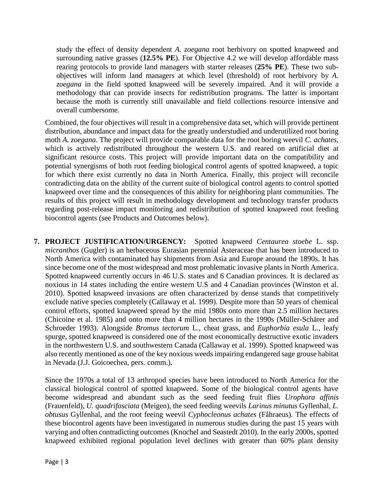study the effect of density dependent *A. zoegana* root herbivory on spotted knapweed and surrounding native grasses (**12.5% PE**). For Objective 4.2 we will develop affordable mass rearing protocols to provide land managers with starter releases (**25% PE**). These two subobjectives will inform land managers at which level (threshold) of root herbivory by *A. zoegana* in the field spotted knapweed will be severely impaired. And it will provide a methodology that can provide insects for redistribution programs. The latter is important because the moth is currently still unavailable and field collections resource intensive and overall cumbersome.

Combined, the four objectives will result in a comprehensive data set, which will provide pertinent distribution, abundance and impact data for the greatly understudied and underutilized root boring moth *A. zoegana.* The project will provide comparable data for the root boring weevil *C. achates,*  which is actively redistributed throughout the western U.S. and reared on artificial diet at significant resource costs. This project will provide important data on the compatibility and potential synergisms of both root feeding biological control agents of spotted knapweed, a topic for which there exist currently no data in North America. Finally, this project will reconcile contradicting data on the ability of the current suite of biological control agents to control spotted knapweed over time and the consequences of this ability for neighboring plant communities. The results of this project will result in methodology development and technology transfer products regarding post-release impact monitoring and redistribution of spotted knapweed root feeding biocontrol agents (see Products and Outcomes below).

**7. PROJECT JUSTIFICATION/URGENCY:** Spotted knapweed *Centaurea stoebe* L. ssp. *micranthos* (Gugler) is an herbaceous Eurasian perennial Asteraceae that has been introduced to North America with contaminated hay shipments from Asia and Europe around the 1890s. It has since become one of the most widespread and most problematic invasive plants in North America. Spotted knapweed currently occurs in 46 U.S. states and 6 Canadian provinces. It is declared as noxious in 14 states including the entire western U.S and 4 Canadian provinces (Winston et al. 2010). Spotted knapweed invasions are often characterized by dense stands that competitively exclude native species completely (Callaway et al. 1999). Despite more than 50 years of chemical control efforts, spotted knapweed spread by the mid 1980s onto more than 2.5 million hectares (Chicoine et al. 1985) and onto more than 4 million hectares in the 1990s (Müller-Schärer and Schroeder 1993). Alongside *Bromus tectorum* L., cheat grass, and *Euphorbia esula* L., leafy spurge, spotted knapweed is considered one of the most economically destructive exotic invaders in the northwestern U.S. and southwestern Canada (Callaway et al. 1999). Spotted knapweed was also recently mentioned as one of the key noxious weeds impairing endangered sage grouse habitat in Nevada (J.J. Goicoechea, pers. comm.).

Since the 1970s a total of 13 arthropod species have been introduced to North America for the classical biological control of spotted knapweed. Some of the biological control agents have become widespread and abundant such as the seed feeding fruit flies *Urophora affinis*  (Frauenfeld), *U. quadrifasciata* (Meigen), the seed feeding weevils *Larinus minutus* Gyllenhal, *L. obtusus* Gyllenhal, and the root feeing weevil *Cyphocleonus achates* (Fåhraeus). The effects of these biocontrol agents have been investigated in numerous studies during the past 15 years with varying and often contradicting outcomes (Knochel and Seastedt 2010). In the early 2000s, spotted knapweed exhibited regional population level declines with greater than 60% plant density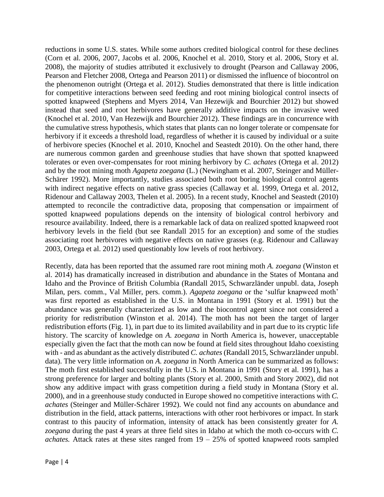reductions in some U.S. states. While some authors credited biological control for these declines (Corn et al. 2006, 2007, Jacobs et al. 2006, Knochel et al. 2010, Story et al. 2006, Story et al. 2008), the majority of studies attributed it exclusively to drought (Pearson and Callaway 2006, Pearson and Fletcher 2008, Ortega and Pearson 2011) or dismissed the influence of biocontrol on the phenomenon outright (Ortega et al. 2012). Studies demonstrated that there is little indication for competitive interactions between seed feeding and root mining biological control insects of spotted knapweed (Stephens and Myers 2014, Van Hezewijk and Bourchier 2012) but showed instead that seed and root herbivores have generally additive impacts on the invasive weed (Knochel et al. 2010, Van Hezewijk and Bourchier 2012). These findings are in concurrence with the cumulative stress hypothesis, which states that plants can no longer tolerate or compensate for herbivory if it exceeds a threshold load, regardless of whether it is caused by individual or a suite of herbivore species (Knochel et al. 2010, Knochel and Seastedt 2010). On the other hand, there are numerous common garden and greenhouse studies that have shown that spotted knapweed tolerates or even over-compensates for root mining herbivory by *C. achates* (Ortega et al. 2012) and by the root mining moth *Agapeta zoegana* (L.) (Newingham et al. 2007, Steinger and Müller-Schärer 1992). More importantly, studies associated both root boring biological control agents with indirect negative effects on native grass species (Callaway et al. 1999, Ortega et al. 2012, Ridenour and Callaway 2003, Thelen et al. 2005). In a recent study, Knochel and Seastedt (2010) attempted to reconcile the contradictive data, proposing that compensation or impairment of spotted knapweed populations depends on the intensity of biological control herbivory and resource availability. Indeed, there is a remarkable lack of data on realized spotted knapweed root herbivory levels in the field (but see Randall 2015 for an exception) and some of the studies associating root herbivores with negative effects on native grasses (e.g. Ridenour and Callaway 2003, Ortega et al. 2012) used questionably low levels of root herbivory.

Recently, data has been reported that the assumed rare root mining moth *A. zoegana* (Winston et al. 2014) has dramatically increased in distribution and abundance in the States of Montana and Idaho and the Province of British Columbia (Randall 2015, Schwarzländer unpubl. data, Joseph Milan, pers. comm., Val Miller, pers. comm.). *Agapeta zoegana* or the 'sulfur knapweed moth' was first reported as established in the U.S. in Montana in 1991 (Story et al. 1991) but the abundance was generally characterized as low and the biocontrol agent since not considered a priority for redistribution (Winston et al. 2014). The moth has not been the target of larger redistribution efforts (Fig. 1), in part due to its limited availability and in part due to its cryptic life history. The scarcity of knowledge on *A. zoegana* in North America is, however, unacceptable especially given the fact that the moth can now be found at field sites throughout Idaho coexisting with - and as abundant as the actively distributed *C. achates* (Randall 2015, Schwarzländer unpubl. data). The very little information on *A. zoegana* in North America can be summarized as follows: The moth first established successfully in the U.S. in Montana in 1991 (Story et al. 1991), has a strong preference for larger and bolting plants (Story et al. 2000, Smith and Story 2002), did not show any additive impact with grass competition during a field study in Montana (Story et al. 2000), and in a greenhouse study conducted in Europe showed no competitive interactions with *C. achates* (Steinger and Müller-Schärer 1992). We could not find any accounts on abundance and distribution in the field, attack patterns, interactions with other root herbivores or impact. In stark contrast to this paucity of information, intensity of attack has been consistently greater for *A. zoegana* during the past 4 years at three field sites in Idaho at which the moth co-occurs with *C. achates.* Attack rates at these sites ranged from  $19 - 25\%$  of spotted knapweed roots sampled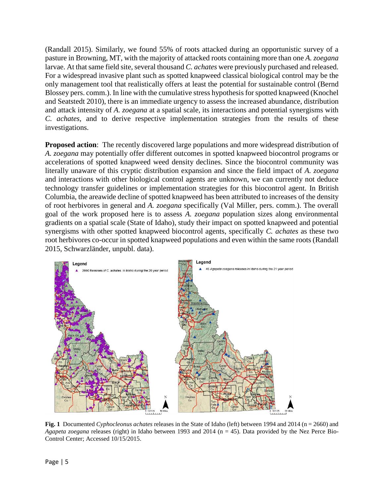(Randall 2015). Similarly, we found 55% of roots attacked during an opportunistic survey of a pasture in Browning, MT, with the majority of attacked roots containing more than one *A. zoegana*  larvae. At that same field site, several thousand *C. achates* were previously purchased and released. For a widespread invasive plant such as spotted knapweed classical biological control may be the only management tool that realistically offers at least the potential for sustainable control (Bernd Blossey pers. comm.). In line with the cumulative stress hypothesis for spotted knapweed (Knochel and Seatstedt 2010), there is an immediate urgency to assess the increased abundance, distribution and attack intensity of *A. zoegana* at a spatial scale*,* its interactions and potential synergisms with *C. achates,* and to derive respective implementation strategies from the results of these investigations.

**Proposed action**: The recently discovered large populations and more widespread distribution of *A. zoegana* may potentially offer different outcomes in spotted knapweed biocontrol programs or accelerations of spotted knapweed weed density declines. Since the biocontrol community was literally unaware of this cryptic distribution expansion and since the field impact of *A. zoegana*  and interactions with other biological control agents are unknown, we can currently not deduce technology transfer guidelines or implementation strategies for this biocontrol agent. In British Columbia, the areawide decline of spotted knapweed has been attributed to increases of the density of root herbivores in general and *A. zoegana* specifically (Val Miller, pers. comm.). The overall goal of the work proposed here is to assess *A. zoegana* population sizes along environmental gradients on a spatial scale (State of Idaho), study their impact on spotted knapweed and potential synergisms with other spotted knapweed biocontrol agents, specifically *C. achates* as these two root herbivores co-occur in spotted knapweed populations and even within the same roots (Randall 2015, Schwarzländer, unpubl. data).



**Fig. 1** Documented *Cyphocleonus achates* releases in the State of Idaho (left) between 1994 and 2014 (n = 2660) and *Agapeta zoegana* releases (right) in Idaho between 1993 and 2014 (n = 45). Data provided by the Nez Perce Bio-Control Center; Accessed 10/15/2015.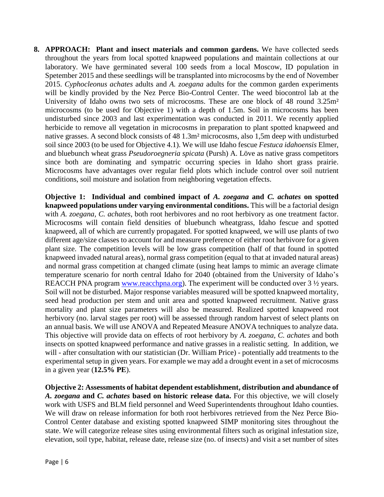**8. APPROACH: Plant and insect materials and common gardens.** We have collected seeds throughout the years from local spotted knapweed populations and maintain collections at our laboratory. We have germinated several 100 seeds from a local Moscow, ID population in Spetember 2015 and these seedlings will be transplanted into microcosms by the end of November 2015. *Cyphocleonus achates* adults and *A. zoegana* adults for the common garden experiments will be kindly provided by the Nez Perce Bio-Control Center. The weed biocontrol lab at the University of Idaho owns two sets of microcosms. These are one block of 48 round 3.25m² microcosms (to be used for Objective 1) with a depth of 1.5m. Soil in microcosms has been undisturbed since 2003 and last experimentation was conducted in 2011. We recently applied herbicide to remove all vegetation in microcosms in preparation to plant spotted knapweed and native grasses. A second block consists of 48 1.3m² microcosms, also 1,5m deep with undisturbed soil since 2003 (to be used for Objective 4.1). We will use Idaho fescue *Festuca idahoensis* Elmer, and bluebunch wheat grass *Pseudoroegneria spicata* (Pursh) A. Löve as native grass competitors since both are dominating and sympatric occurring species in Idaho short grass prairie. Microcosms have advantages over regular field plots which include control over soil nutrient conditions, soil moisture and isolation from neighboring vegetation effects.

**Objective 1: Individual and combined impact of** *A. zoegana* **and** *C. achates* **on spotted knapweed populations under varying environmental conditions.** This will be a factorial design with *A. zoegana, C. achates*, both root herbivores and no root herbivory as one treatment factor. Microcosms will contain field densities of bluebunch wheatgrass, Idaho fescue and spotted knapweed, all of which are currently propagated. For spotted knapweed, we will use plants of two different age/size classes to account for and measure preference of either root herbivore for a given plant size. The competition levels will be low grass competition (half of that found in spotted knapweed invaded natural areas), normal grass competition (equal to that at invaded natural areas) and normal grass competition at changed climate (using heat lamps to mimic an average climate temperature scenario for north central Idaho for 2040 (obtained from the University of Idaho's REACCH PNA program [www.reacchpna.org\)](http://www.reacchpna.org/). The experiment will be conducted over 3  $\frac{1}{2}$  years. Soil will not be disturbed. Major response variables measured will be spotted knapweed mortality, seed head production per stem and unit area and spotted knapweed recruitment. Native grass mortality and plant size parameters will also be measured. Realized spotted knapweed root herbivory (no. larval stages per root) will be assessed through random harvest of select plants on an annual basis. We will use ANOVA and Repeated Measure ANOVA techniques to analyze data. This objective will provide data on effects of root herbivory by *A. zoegana, C. achates* and both insects on spotted knapweed performance and native grasses in a realistic setting. In addition, we will - after consultation with our statistician (Dr. William Price) - potentially add treatments to the experimental setup in given years. For example we may add a drought event in a set of microcosms in a given year (**12.5% PE**).

**Objective 2: Assessments of habitat dependent establishment, distribution and abundance of**  *A. zoegana* **and** *C. achates* **based on historic release data.** For this objective, we will closely work with USFS and BLM field personnel and Weed Superintendents throughout Idaho counties. We will draw on release information for both root herbivores retrieved from the Nez Perce Bio-Control Center database and existing spotted knapweed SIMP monitoring sites throughout the state. We will categorize release sites using environmental filters such as original infestation size, elevation, soil type, habitat, release date, release size (no. of insects) and visit a set number of sites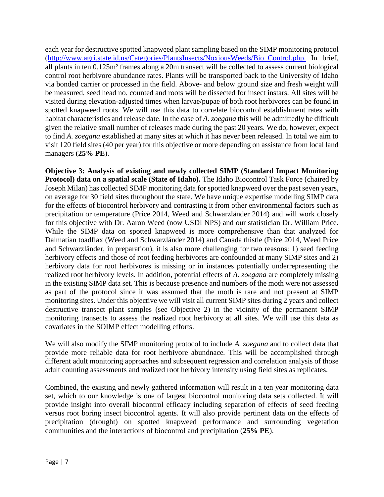each year for destructive spotted knapweed plant sampling based on the SIMP monitoring protocol [\(http://www.agri.state.id.us/Categories/PlantsInsects/NoxiousWeeds/Bio\\_Control.php.](http://www.agri.state.id.us/Categories/PlantsInsects/NoxiousWeeds/Bio_Control.php) In brief, all plants in ten 0.125m² frames along a 20m transect will be collected to assess current biological control root herbivore abundance rates. Plants will be transported back to the University of Idaho via bonded carrier or processed in the field. Above- and below ground size and fresh weight will be measured, seed head no. counted and roots will be dissected for insect instars. All sites will be visited during elevation-adjusted times when larvae/pupae of both root herbivores can be found in spotted knapweed roots. We will use this data to correlate biocontrol establishment rates with habitat characteristics and release date. In the case of *A. zoegana* this will be admittedly be difficult given the relative small number of releases made during the past 20 years. We do, however, expect to find *A. zoegana* established at many sites at which it has never been released. In total we aim to visit 120 field sites (40 per year) for this objective or more depending on assistance from local land managers (**25% PE**).

**Objective 3: Analysis of existing and newly collected SIMP (Standard Impact Monitoring Protocol) data on a spatial scale (State of Idaho).** The Idaho Biocontrol Task Force (chaired by Joseph Milan) has collected SIMP monitoring data for spotted knapweed over the past seven years, on average for 30 field sites throughout the state. We have unique expertise modelling SIMP data for the effects of biocontrol herbivory and contrasting it from other environmental factors such as precipitation or temperature (Price 2014, Weed and Schwarzländer 2014) and will work closely for this objective with Dr. Aaron Weed (now USDI NPS) and our statistician Dr. William Price. While the SIMP data on spotted knapweed is more comprehensive than that analyzed for Dalmatian toadflax (Weed and Schwarzländer 2014) and Canada thistle (Price 2014, Weed Price and Schwarzländer, in preparation), it is also more challenging for two reasons: 1) seed feeding herbivory effects and those of root feeding herbivores are confounded at many SIMP sites and 2) herbivory data for root herbivores is missing or in instances potentially underrepresenting the realized root herbivory levels. In addition, potential effects of *A. zoegana* are completely missing in the existing SIMP data set. This is because presence and numbers of the moth were not assessed as part of the protocol since it was assumed that the moth is rare and not present at SIMP monitoring sites. Under this objective we will visit all current SIMP sites during 2 years and collect destructive transect plant samples (see Objective 2) in the vicinity of the permanent SIMP monitoring transects to assess the realized root herbivory at all sites. We will use this data as covariates in the SOIMP effect modelling efforts.

We will also modify the SIMP monitoring protocol to include *A. zoegana* and to collect data that provide more reliable data for root herbivore abundnace*.* This will be accomplished through different adult monitoring approaches and subsequent regression and correlation analysis of those adult counting assessments and realized root herbivory intensity using field sites as replicates.

Combined, the existing and newly gathered information will result in a ten year monitoring data set, which to our knowledge is one of largest biocontrol monitoring data sets collected. It will provide insight into overall biocontrol efficacy including separation of effects of seed feeding versus root boring insect biocontrol agents. It will also provide pertinent data on the effects of precipitation (drought) on spotted knapweed performance and surrounding vegetation communities and the interactions of biocontrol and precipitation (**25% PE**).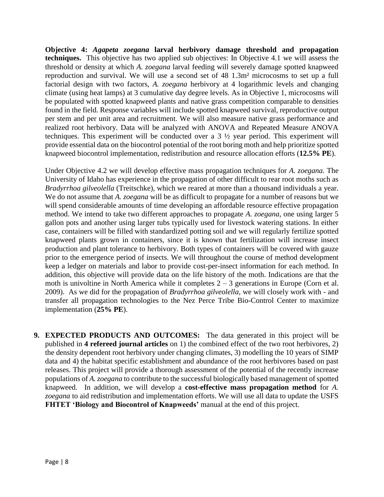**Objective 4:** *Agapeta zoegana* **larval herbivory damage threshold and propagation techniques.** This objective has two applied sub objectives: In Objective 4.1 we will assess the threshold or density at which *A. zoegana* larval feeding will severely damage spotted knapweed reproduction and survival. We will use a second set of 48 1.3m² microcosms to set up a full factorial design with two factors, *A. zoegana* herbivory at 4 logarithmic levels and changing climate (using heat lamps) at 3 cumulative day degree levels. As in Objective 1, microcosms will be populated with spotted knapweed plants and native grass competition comparable to densities found in the field. Response variables will include spotted knapweed survival, reproductive output per stem and per unit area and recruitment. We will also measure native grass performance and realized root herbivory. Data will be analyzed with ANOVA and Repeated Measure ANOVA techniques. This experiment will be conducted over a 3 ½ year period. This experiment will provide essential data on the biocontrol potential of the root boring moth and help prioritize spotted knapweed biocontrol implementation, redistribution and resource allocation efforts (**12.5% PE**).

Under Objective 4.2 we will develop effective mass propagation techniques for *A. zoegana.* The University of Idaho has experience in the propagation of other difficult to rear root moths such as *Bradyrrhoa gilveolella* (Treitschke)*,* which we reared at more than a thousand individuals a year. We do not assume that *A. zoegana* will be as difficult to propagate for a number of reasons but we will spend considerable amounts of time developing an affordable resource effective propagation method. We intend to take two different approaches to propagate *A. zoegana*, one using larger 5 gallon pots and another using larger tubs typically used for livestock watering stations. In either case, containers will be filled with standardized potting soil and we will regularly fertilize spotted knapweed plants grown in containers, since it is known that fertilization will increase insect production and plant tolerance to herbivory. Both types of containers will be covered with gauze prior to the emergence period of insects. We will throughout the course of method development keep a ledger on materials and labor to provide cost-per-insect information for each method. In addition, this objective will provide data on the life history of the moth. Indications are that the moth is univoltine in North America while it completes  $2 - 3$  generations in Europe (Corn et al. 2009). As we did for the propagation of *Bradyrrhoa gilveolella,* we will closely work with - and transfer all propagation technologies to the Nez Perce Tribe Bio-Control Center to maximize implementation (**25% PE**).

**9. EXPECTED PRODUCTS AND OUTCOMES:** The data generated in this project will be published in **4 refereed journal articles** on 1) the combined effect of the two root herbivores, 2) the density dependent root herbivory under changing climates, 3) modelling the 10 years of SIMP data and 4) the habitat specific establishment and abundance of the root herbivores based on past releases. This project will provide a thorough assessment of the potential of the recently increase populations of *A. zoegana* to contribute to the successful biologically based management of spotted knapweed. In addition, we will develop a **cost-effective mass propagation method** for *A. zoegana* to aid redistribution and implementation efforts. We will use all data to update the USFS **FHTET 'Biology and Biocontrol of Knapweeds'** manual at the end of this project.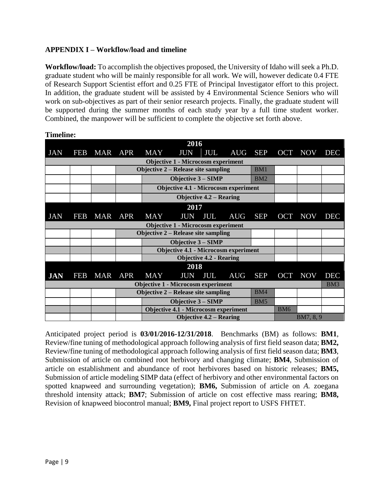# **APPENDIX I – Workflow/load and timeline**

**Workflow/load:** To accomplish the objectives proposed, the University of Idaho will seek a Ph.D. graduate student who will be mainly responsible for all work. We will, however dedicate 0.4 FTE of Research Support Scientist effort and 0.25 FTE of Principal Investigator effort to this project. In addition, the graduate student will be assisted by 4 Environmental Science Seniors who will work on sub-objectives as part of their senior research projects. Finally, the graduate student will be supported during the summer months of each study year by a full time student worker. Combined, the manpower will be sufficient to complete the objective set forth above.

| 2016                                      |     |            |            |                                                   |                                             |            |            |                 |                 |            |            |
|-------------------------------------------|-----|------------|------------|---------------------------------------------------|---------------------------------------------|------------|------------|-----------------|-----------------|------------|------------|
| <b>JAN</b>                                | FEB | MAR APR    |            | <b>MAY</b>                                        | <b>JUN</b>                                  | JUL        | <b>AUG</b> | <b>SEP</b>      |                 | OCT NOV    | <b>DEC</b> |
| <b>Objective 1 - Microcosm experiment</b> |     |            |            |                                                   |                                             |            |            |                 |                 |            |            |
|                                           |     |            |            | <b>Objective 2 – Release site sampling</b><br>BM1 |                                             |            |            |                 |                 |            |            |
|                                           |     |            |            |                                                   | <b>Objective 3 – SIMP</b><br>BM2            |            |            |                 |                 |            |            |
|                                           |     |            |            | <b>Objective 4.1 - Microcosm experiment</b>       |                                             |            |            |                 |                 |            |            |
|                                           |     |            |            | <b>Objective 4.2 – Rearing</b>                    |                                             |            |            |                 |                 |            |            |
| 2017                                      |     |            |            |                                                   |                                             |            |            |                 |                 |            |            |
| <b>JAN</b>                                | FEB | MAR        | <b>APR</b> | <b>MAY</b>                                        | <b>JUN</b>                                  | <b>JUL</b> | <b>AUG</b> | <b>SEP</b>      | <b>OCT</b>      | <b>NOV</b> | <b>DEC</b> |
| <b>Objective 1 - Microcosm experiment</b> |     |            |            |                                                   |                                             |            |            |                 |                 |            |            |
|                                           |     |            |            | <b>Objective 2 – Release site sampling</b>        |                                             |            |            |                 |                 |            |            |
|                                           |     |            |            |                                                   | <b>Objective 3 – SIMP</b>                   |            |            |                 |                 |            |            |
|                                           |     |            |            |                                                   | <b>Objective 4.1 - Microcosm experiment</b> |            |            |                 |                 |            |            |
|                                           |     |            |            |                                                   | <b>Objective 4.2 - Rearing</b>              |            |            |                 |                 |            |            |
| 2018                                      |     |            |            |                                                   |                                             |            |            |                 |                 |            |            |
| <b>JAN</b>                                | FEB | <b>MAR</b> | <b>APR</b> | <b>MAY</b>                                        | <b>JUN</b>                                  | JUL        | <b>AUG</b> | <b>SEP</b>      | <b>OCT</b>      | <b>NOV</b> | <b>DEC</b> |
| <b>Objective 1 - Microcosm experiment</b> |     |            |            |                                                   |                                             |            |            |                 | BM <sub>3</sub> |            |            |
|                                           |     |            |            | BM4<br><b>Objective 2 – Release site sampling</b> |                                             |            |            |                 |                 |            |            |
|                                           |     |            |            |                                                   | <b>Objective 3 – SIMP</b>                   |            |            | BM <sub>5</sub> |                 |            |            |
|                                           |     |            |            | <b>Objective 4.1 - Microcosm experiment</b>       |                                             |            | <b>BM6</b> |                 |                 |            |            |
|                                           |     |            |            | <b>Objective 4.2 – Rearing</b>                    |                                             |            | BM7, 8, 9  |                 |                 |            |            |

**Timeline:**

Anticipated project period is **03/01/2016-12/31/2018**. Benchmarks (BM) as follows: **BM1**, Review/fine tuning of methodological approach following analysis of first field season data; **BM2,**  Review/fine tuning of methodological approach following analysis of first field season data; **BM3**, Submission of article on combined root herbivory and changing climate; **BM4**, Submission of article on establishment and abundance of root herbivores based on historic releases; **BM5,**  Submission of article modeling SIMP data (effect of herbivory and other environmental factors on spotted knapweed and surrounding vegetation); **BM6,** Submission of article on *A.* zoegana threshold intensity attack; **BM7**; Submission of article on cost effective mass rearing; **BM8,**  Revision of knapweed biocontrol manual; **BM9,** Final project report to USFS FHTET.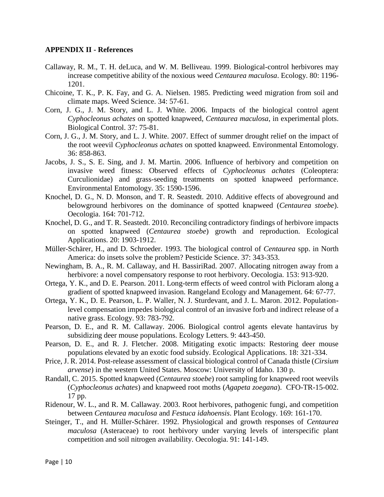## **APPENDIX II - References**

- Callaway, R. M., T. H. deLuca, and W. M. Belliveau. 1999. Biological-control herbivores may increase competitive ability of the noxious weed *Centaurea maculosa*. Ecology. 80: 1196- 1201.
- Chicoine, T. K., P. K. Fay, and G. A. Nielsen. 1985. Predicting weed migration from soil and climate maps. Weed Science. 34: 57-61.
- Corn, J. G., J. M. Story, and L. J. White. 2006. Impacts of the biological control agent *Cyphocleonus achates* on spotted knapweed, *Centaurea maculosa*, in experimental plots. Biological Control. 37: 75-81.
- Corn, J. G., J. M. Story, and L. J. White. 2007. Effect of summer drought relief on the impact of the root weevil *Cyphocleonus achates* on spotted knapweed. Environmental Entomology. 36: 858-863.
- Jacobs, J. S., S. E. Sing, and J. M. Martin. 2006. Influence of herbivory and competition on invasive weed fitness: Observed effects of *Cyphocleonus achates* (Coleoptera: Curculionidae) and grass-seeding treatments on spotted knapweed performance. Environmental Entomology. 35: 1590-1596.
- Knochel, D. G., N. D. Monson, and T. R. Seastedt. 2010. Additive effects of aboveground and belowground herbivores on the dominance of spotted knapweed (*Centaurea stoebe*). Oecologia. 164: 701-712.
- Knochel, D. G., and T. R. Seastedt. 2010. Reconciling contradictory findings of herbivore impacts on spotted knapweed (*Centaurea stoebe*) growth and reproduction. Ecological Applications. 20: 1903-1912.
- Müller-Schärer, H., and D. Schroeder. 1993. The biological control of *Centaurea* spp. in North America: do insets solve the problem? Pesticide Science. 37: 343-353.
- Newingham, B. A., R. M. Callaway, and H. BassiriRad. 2007. Allocating nitrogen away from a herbivore: a novel compensatory response to root herbivory. Oecologia. 153: 913-920.
- Ortega, Y. K., and D. E. Pearson. 2011. Long-term effects of weed control with Picloram along a gradient of spotted knapweed invasion. Rangeland Ecology and Management. 64: 67-77.
- Ortega, Y. K., D. E. Pearson, L. P. Waller, N. J. Sturdevant, and J. L. Maron. 2012. Populationlevel compensation impedes biological control of an invasive forb and indirect release of a native grass. Ecology. 93: 783-792.
- Pearson, D. E., and R. M. Callaway. 2006. Biological control agents elevate hantavirus by subsidizing deer mouse populations. Ecology Letters. 9: 443-450.
- Pearson, D. E., and R. J. Fletcher. 2008. Mitigating exotic impacts: Restoring deer mouse populations elevated by an exotic food subsidy. Ecological Applications. 18: 321-334.
- Price, J. R. 2014. Post-release assessment of classical biological control of Canada thistle (*Cirsium arvense*) in the western United States. Moscow: University of Idaho. 130 p.
- Randall, C. 2015. Spotted knapweed (*Centaurea stoebe*) root sampling for knapweed root weevils (*Cyphocleonus achates*) and knapweed root moths (*Agapeta zoegana*). CFO-TR-15-002. 17 pp.
- Ridenour, W. L., and R. M. Callaway. 2003. Root herbivores, pathogenic fungi, and competition between *Centaurea maculosa* and *Festuca idahoensis*. Plant Ecology. 169: 161-170.
- Steinger, T., and H. Müller-Schärer. 1992. Physiological and growth responses of *Centaurea maculosa* (Asteraceae) to root herbivory under varying levels of interspecific plant competition and soil nitrogen availability. Oecologia. 91: 141-149.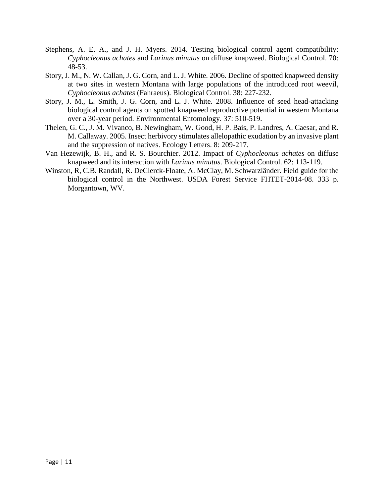- Stephens, A. E. A., and J. H. Myers. 2014. Testing biological control agent compatibility: *Cyphocleonus achates* and *Larinus minutus* on diffuse knapweed. Biological Control. 70: 48-53.
- Story, J. M., N. W. Callan, J. G. Corn, and L. J. White. 2006. Decline of spotted knapweed density at two sites in western Montana with large populations of the introduced root weevil, *Cyphocleonus achates* (Fahraeus). Biological Control. 38: 227-232.
- Story, J. M., L. Smith, J. G. Corn, and L. J. White. 2008. Influence of seed head-attacking biological control agents on spotted knapweed reproductive potential in western Montana over a 30-year period. Environmental Entomology. 37: 510-519.
- Thelen, G. C., J. M. Vivanco, B. Newingham, W. Good, H. P. Bais, P. Landres, A. Caesar, and R. M. Callaway. 2005. Insect herbivory stimulates allelopathic exudation by an invasive plant and the suppression of natives. Ecology Letters. 8: 209-217.
- Van Hezewijk, B. H., and R. S. Bourchier. 2012. Impact of *Cyphocleonus achates* on diffuse knapweed and its interaction with *Larinus minutus*. Biological Control. 62: 113-119.
- Winston, R, C.B. Randall, R. DeClerck-Floate, A. McClay, M. Schwarzländer. Field guide for the biological control in the Northwest. USDA Forest Service FHTET-2014-08. 333 p. Morgantown, WV.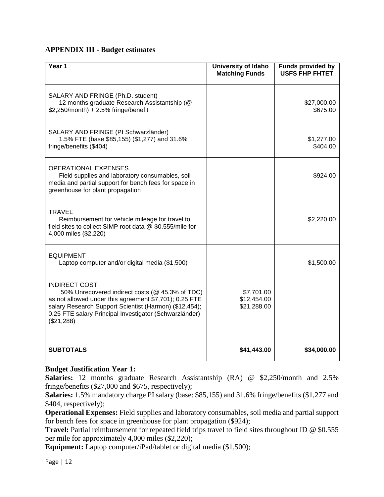# **APPENDIX III - Budget estimates**

| Year 1                                                                                                                                                                                                                                                              | <b>University of Idaho</b><br><b>Matching Funds</b> | <b>Funds provided by</b><br><b>USFS FHP FHTET</b> |
|---------------------------------------------------------------------------------------------------------------------------------------------------------------------------------------------------------------------------------------------------------------------|-----------------------------------------------------|---------------------------------------------------|
| SALARY AND FRINGE (Ph.D. student)<br>12 months graduate Research Assistantship (@<br>$$2,250/m$ onth) + 2.5% fringe/benefit                                                                                                                                         |                                                     | \$27,000.00<br>\$675.00                           |
| SALARY AND FRINGE (PI Schwarzländer)<br>1.5% FTE (base \$85,155) (\$1,277) and 31.6%<br>fringe/benefits (\$404)                                                                                                                                                     |                                                     | \$1,277.00<br>\$404.00                            |
| <b>OPERATIONAL EXPENSES</b><br>Field supplies and laboratory consumables, soil<br>media and partial support for bench fees for space in<br>greenhouse for plant propagation                                                                                         |                                                     | \$924.00                                          |
| TRAVEL<br>Reimbursement for vehicle mileage for travel to<br>field sites to collect SIMP root data @ \$0.555/mile for<br>4,000 miles (\$2,220)                                                                                                                      |                                                     | \$2,220.00                                        |
| <b>EQUIPMENT</b><br>Laptop computer and/or digital media (\$1,500)                                                                                                                                                                                                  |                                                     | \$1,500.00                                        |
| <b>INDIRECT COST</b><br>50% Unrecovered indirect costs (@ 45.3% of TDC)<br>as not allowed under this agreement \$7,701); 0.25 FTE<br>salary Research Support Scientist (Harmon) (\$12,454);<br>0.25 FTE salary Principal Investigator (Schwarzländer)<br>(\$21,288) | \$7,701.00<br>\$12,454.00<br>\$21,288.00            |                                                   |
| <b>SUBTOTALS</b>                                                                                                                                                                                                                                                    | \$41,443.00                                         | \$34,000.00                                       |

## **Budget Justification Year 1:**

**Salaries:** 12 months graduate Research Assistantship (RA) @ \$2,250/month and 2.5% fringe/benefits (\$27,000 and \$675, respectively);

**Salaries:** 1.5% mandatory charge PI salary (base: \$85,155) and 31.6% fringe/benefits (\$1,277 and \$404, respectively);

**Operational Expenses:** Field supplies and laboratory consumables, soil media and partial support for bench fees for space in greenhouse for plant propagation (\$924);

**Travel:** Partial reimbursement for repeated field trips travel to field sites throughout ID @ \$0.555 per mile for approximately 4,000 miles (\$2,220);

**Equipment:** Laptop computer/iPad/tablet or digital media (\$1,500);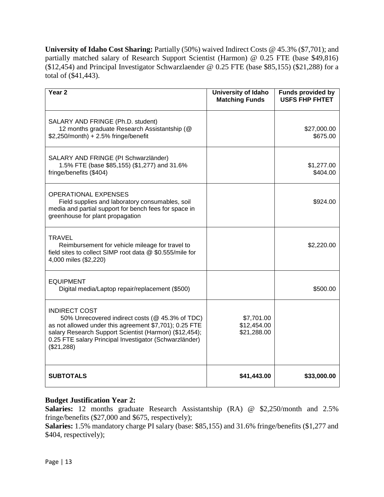University of Idaho Cost Sharing: Partially (50%) waived Indirect Costs @ 45.3% (\$7,701); and partially matched salary of Research Support Scientist (Harmon) @ 0.25 FTE (base \$49,816)  $(12,454)$  and Principal Investigator Schwarzlaender @ 0.25 FTE (base \$85,155) (\$21,288) for a total of (\$41,443).

| Year <sub>2</sub>                                                                                                                                                                                                                                                   | University of Idaho<br><b>Matching Funds</b> | Funds provided by<br><b>USFS FHP FHTET</b> |
|---------------------------------------------------------------------------------------------------------------------------------------------------------------------------------------------------------------------------------------------------------------------|----------------------------------------------|--------------------------------------------|
| SALARY AND FRINGE (Ph.D. student)<br>12 months graduate Research Assistantship (@<br>\$2,250/month) + 2.5% fringe/benefit                                                                                                                                           |                                              | \$27,000.00<br>\$675.00                    |
| SALARY AND FRINGE (PI Schwarzländer)<br>1.5% FTE (base \$85,155) (\$1,277) and 31.6%<br>fringe/benefits (\$404)                                                                                                                                                     |                                              | \$1,277.00<br>\$404.00                     |
| <b>OPERATIONAL EXPENSES</b><br>Field supplies and laboratory consumables, soil<br>media and partial support for bench fees for space in<br>greenhouse for plant propagation                                                                                         |                                              | \$924.00                                   |
| <b>TRAVEL</b><br>Reimbursement for vehicle mileage for travel to<br>field sites to collect SIMP root data @ \$0.555/mile for<br>4,000 miles (\$2,220)                                                                                                               |                                              | \$2,220.00                                 |
| <b>EQUIPMENT</b><br>Digital media/Laptop repair/replacement (\$500)                                                                                                                                                                                                 |                                              | \$500.00                                   |
| <b>INDIRECT COST</b><br>50% Unrecovered indirect costs (@ 45.3% of TDC)<br>as not allowed under this agreement \$7,701); 0.25 FTE<br>salary Research Support Scientist (Harmon) (\$12,454);<br>0.25 FTE salary Principal Investigator (Schwarzländer)<br>(\$21,288) | \$7,701.00<br>\$12,454.00<br>\$21,288.00     |                                            |
| <b>SUBTOTALS</b>                                                                                                                                                                                                                                                    | \$41,443.00                                  | \$33,000.00                                |

# **Budget Justification Year 2:**

**Salaries:** 12 months graduate Research Assistantship (RA) @ \$2,250/month and 2.5% fringe/benefits (\$27,000 and \$675, respectively);

**Salaries:** 1.5% mandatory charge PI salary (base: \$85,155) and 31.6% fringe/benefits (\$1,277 and \$404, respectively);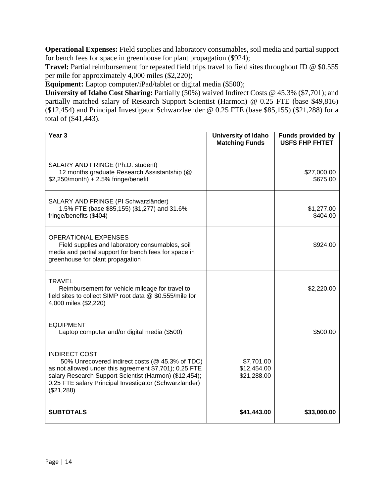**Operational Expenses:** Field supplies and laboratory consumables, soil media and partial support for bench fees for space in greenhouse for plant propagation (\$924);

**Travel:** Partial reimbursement for repeated field trips travel to field sites throughout ID @ \$0.555 per mile for approximately 4,000 miles (\$2,220);

**Equipment:** Laptop computer/iPad/tablet or digital media (\$500);

University of Idaho Cost Sharing: Partially (50%) waived Indirect Costs @ 45.3% (\$7,701); and partially matched salary of Research Support Scientist (Harmon) @ 0.25 FTE (base \$49,816) (\$12,454) and Principal Investigator Schwarzlaender @ 0.25 FTE (base \$85,155) (\$21,288) for a total of (\$41,443).

| Year <sub>3</sub>                                                                                                                                                                                                                                                   | <b>University of Idaho</b><br><b>Matching Funds</b> | <b>Funds provided by</b><br><b>USFS FHP FHTET</b> |
|---------------------------------------------------------------------------------------------------------------------------------------------------------------------------------------------------------------------------------------------------------------------|-----------------------------------------------------|---------------------------------------------------|
| SALARY AND FRINGE (Ph.D. student)<br>12 months graduate Research Assistantship (@<br>$$2,250/m$ onth) + 2.5% fringe/benefit                                                                                                                                         |                                                     | \$27,000.00<br>\$675.00                           |
| SALARY AND FRINGE (PI Schwarzländer)<br>1.5% FTE (base \$85,155) (\$1,277) and 31.6%<br>fringe/benefits (\$404)                                                                                                                                                     |                                                     | \$1,277.00<br>\$404.00                            |
| <b>OPERATIONAL EXPENSES</b><br>Field supplies and laboratory consumables, soil<br>media and partial support for bench fees for space in<br>greenhouse for plant propagation                                                                                         |                                                     | \$924.00                                          |
| <b>TRAVEL</b><br>Reimbursement for vehicle mileage for travel to<br>field sites to collect SIMP root data @ \$0.555/mile for<br>4,000 miles (\$2,220)                                                                                                               |                                                     | \$2,220.00                                        |
| <b>EQUIPMENT</b><br>Laptop computer and/or digital media (\$500)                                                                                                                                                                                                    |                                                     | \$500.00                                          |
| <b>INDIRECT COST</b><br>50% Unrecovered indirect costs (@ 45.3% of TDC)<br>as not allowed under this agreement \$7,701); 0.25 FTE<br>salary Research Support Scientist (Harmon) (\$12,454);<br>0.25 FTE salary Principal Investigator (Schwarzländer)<br>(\$21,288) | \$7,701.00<br>\$12,454.00<br>\$21,288.00            |                                                   |
| <b>SUBTOTALS</b>                                                                                                                                                                                                                                                    | \$41,443.00                                         | \$33,000.00                                       |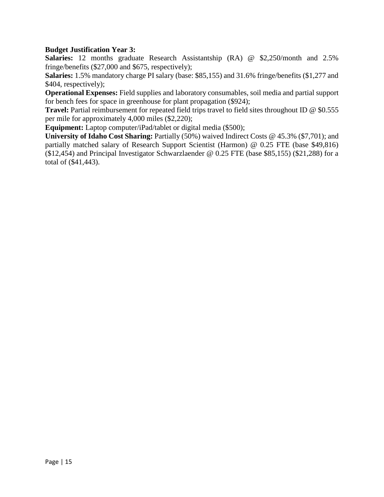# **Budget Justification Year 3:**

**Salaries:** 12 months graduate Research Assistantship (RA) @ \$2,250/month and 2.5% fringe/benefits (\$27,000 and \$675, respectively);

**Salaries:** 1.5% mandatory charge PI salary (base: \$85,155) and 31.6% fringe/benefits (\$1,277 and \$404, respectively);

**Operational Expenses:** Field supplies and laboratory consumables, soil media and partial support for bench fees for space in greenhouse for plant propagation (\$924);

**Travel:** Partial reimbursement for repeated field trips travel to field sites throughout ID @ \$0.555 per mile for approximately 4,000 miles (\$2,220);

**Equipment:** Laptop computer/iPad/tablet or digital media (\$500);

**University of Idaho Cost Sharing:** Partially (50%) waived Indirect Costs @ 45.3% (\$7,701); and partially matched salary of Research Support Scientist (Harmon) @ 0.25 FTE (base \$49,816) (\$12,454) and Principal Investigator Schwarzlaender  $@$  0.25 FTE (base \$85,155) (\$21,288) for a total of (\$41,443).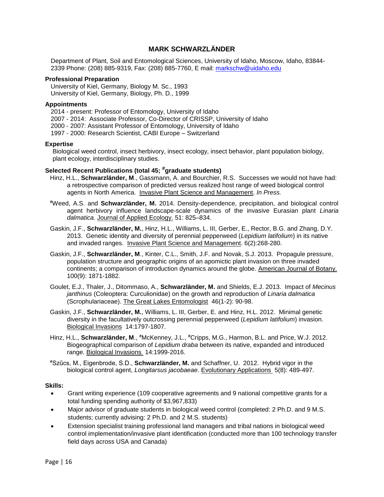## **MARK SCHWARZLÄNDER**

Department of Plant, Soil and Entomological Sciences, University of Idaho, Moscow, Idaho, 83844- 2339 Phone: (208) 885-9319, Fax: (208) 885-7760, E mail: [markschw@uidaho.edu](mailto:markschw@uidaho.edu)

## **Professional Preparation**

University of Kiel, Germany, Biology M. Sc., 1993 University of Kiel, Germany, Biology, Ph. D., 1999

## **Appointments**

2014 - present: Professor of Entomology, University of Idaho 2007 - 2014: Associate Professor, Co-Director of CRISSP, University of Idaho 2000 - 2007: Assistant Professor of Entomology, University of Idaho 1997 - 2000: Research Scientist, CABI Europe – Switzerland

## **Expertise**

Biological weed control, insect herbivory, insect ecology, insect behavior, plant population biology, plant ecology, interdisciplinary studies.

## **Selected Recent Publications (total 45; #graduate students)**

- Hinz, H.L., **Schwarzländer, M**., Gassmann, A. and Bourchier, R.S. Successes we would not have had: a retrospective comparison of predicted versus realized host range of weed biological control agents in North America. Invasive Plant Science and Management. *In Press.*
- **#**Weed, A.S. and **Schwarzländer, M.** 2014. Density-dependence, precipitation, and biological control agent herbivory influence landscape-scale dynamics of the invasive Eurasian plant *Linaria dalmatica.* Journal of Applied Ecology. 51: 825–834*.*
- Gaskin, J.F., **Schwarzländer, M.**, Hinz, H.L., Williams, L. III, Gerber, E., Rector, B.G. and Zhang, D.Y. 2013. Genetic identity and diversity of perennial pepperweed (*Lepidium latifolium*) in its native and invaded ranges. Invasive Plant Science and Management. 6(2):268-280.
- Gaskin, J.F., **Schwarzländer, M**., Kinter, C.L., Smith, J.F. and Novak, S.J. 2013. Propagule pressure, population structure and geographic origins of an apomictic plant invasion on three invaded continents; a comparison of introduction dynamics around the globe. American Journal of Botany. 100(9): 1871-1882.
- Goulet, E.J., Thaler, J., Ditommaso, A., **Schwarzländer, M.** and Shields, E.J. 2013. Impact of *Mecinus janthinus* (Coleoptera: Curculionidae) on the growth and reproduction of *Linaria dalmatica* (Scrophulariaceae). The Great Lakes Entomologist 46(1-2): 90-98.
- Gaskin, J.F., **Schwarzländer, M.**, Williams, L. III, Gerber, E. and Hinz, H.L. 2012. Minimal genetic diversity in the facultatively outcrossing perennial pepperweed (*Lepidium latifolium*) invasion. Biological Invasions14:1797-1807.
- Hinz, H.L., **Schwarzländer, M**., **#**McKenney, J.L., **#**Cripps, M.G., Harmon, B.L. and Price, W.J. 2012. Biogeographical comparison of *Lepidium draba* between its native, expanded and introduced range. Biological Invasions 14:1999-2016.

**#**Szűcs, M., Eigenbrode, S.D., **Schwarzländer, M.** and Schaffner, U. 2012. Hybrid vigor in the biological control agent, *Longitarsus jacobaeae*. Evolutionary Applications 5(8): 489-497.

#### **Skills:**

- Grant writing experience (109 cooperative agreements and 9 national competitive grants for a total funding spending authority of \$3,967,833)
- Major advisor of graduate students in biological weed control (completed: 2 Ph.D. and 9 M.S. students; currently advising: 2 Ph.D. and 2 M.S. students)
- Extension specialist training professional land managers and tribal nations in biological weed control implementation/invasive plant identification (conducted more than 100 technology transfer field days across USA and Canada)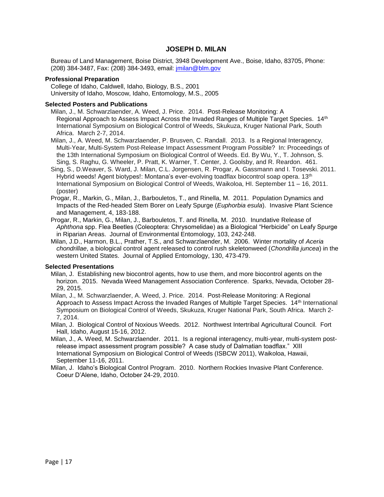## **JOSEPH D. MILAN**

Bureau of Land Management, Boise District, 3948 Development Ave., Boise, Idaho, 83705, Phone: (208) 384-3487, Fax: (208) 384-3493, email: [jmilan@blm.gov](mailto:jmilan@blm.gov)

## **Professional Preparation**

College of Idaho, Caldwell, Idaho, Biology, B.S., 2001 University of Idaho, Moscow, Idaho, Entomology, M.S., 2005

## **Selected Posters and Publications**

Milan, J., M. Schwarzlaender, A. Weed, J. Price. 2014. Post-Release Monitoring: A Regional Approach to Assess Impact Across the Invaded Ranges of Multiple Target Species. 14<sup>th</sup> International Symposium on Biological Control of Weeds, Skukuza, Kruger National Park, South Africa. March 2-7, 2014.

Milan, J., A. Weed, M. Schwarzlaender, P. Brusven, C. Randall. 2013. Is a Regional Interagency, Multi-Year, Multi-System Post-Release Impact Assessment Program Possible? In: Proceedings of the 13th International Symposium on Biological Control of Weeds. Ed. By Wu, Y., T. Johnson, S. Sing, S. Raghu, G. Wheeler, P. Pratt, K. Warner, T. Center, J. Goolsby, and R. Reardon. 461.

Sing, S., D.Weaver, S. Ward, J. Milan, C.L. Jorgensen, R. Progar, A. Gassmann and I. Tosevski. 2011. Hybrid weeds! Agent biotypes!: Montana's ever-evolving toadflax biocontrol soap opera. 13<sup>th</sup> International Symposium on Biological Control of Weeds, Waikoloa, HI. September 11 – 16, 2011. (poster)

Progar, R., Markin, G., Milan, J., Barbouletos, T., and Rinella, M. 2011. Population Dynamics and Impacts of the Red-headed Stem Borer on Leafy Spurge (*Euphorbia esula*). Invasive Plant Science and Management, 4, 183-188.

Progar, R., Markin, G., Milan, J., Barbouletos, T. and Rinella, M. 2010. Inundative Release of *Aphthona* spp. Flea Beetles (Coleoptera: Chrysomelidae) as a Biological "Herbicide" on Leafy Spurge in Riparian Areas. Journal of Environmental Entomology, 103, 242-248.

Milan, J.D., Harmon, B.L., Prather, T.S., and Schwarzlaender, M. 2006. Winter mortality of *Aceria chondrillae*, a biological control agent released to control rush skeletonweed (*Chondrilla juncea*) in the western United States. Journal of Applied Entomology, 130, 473-479.

#### **Selected Presentations**

Milan, J. Establishing new biocontrol agents, how to use them, and more biocontrol agents on the horizon. 2015. Nevada Weed Management Association Conference. Sparks, Nevada, October 28- 29, 2015.

Milan, J., M. Schwarzlaender, A. Weed, J. Price. 2014. Post-Release Monitoring: A Regional Approach to Assess Impact Across the Invaded Ranges of Multiple Target Species. 14<sup>th</sup> International Symposium on Biological Control of Weeds, Skukuza, Kruger National Park, South Africa. March 2- 7, 2014.

Milan, J. Biological Control of Noxious Weeds. 2012. Northwest Intertribal Agricultural Council. Fort Hall, Idaho, August 15-16, 2012.

Milan, J., A. Weed, M. Schwarzlaender. 2011. Is a regional interagency, multi-year, multi-system postrelease impact assessment program possible? A case study of Dalmatian toadflax." XIII International Symposium on Biological Control of Weeds (ISBCW 2011), Waikoloa, Hawaii, September 11-16, 2011.

Milan, J. Idaho's Biological Control Program. 2010. Northern Rockies Invasive Plant Conference. Coeur D'Alene, Idaho, October 24-29, 2010.